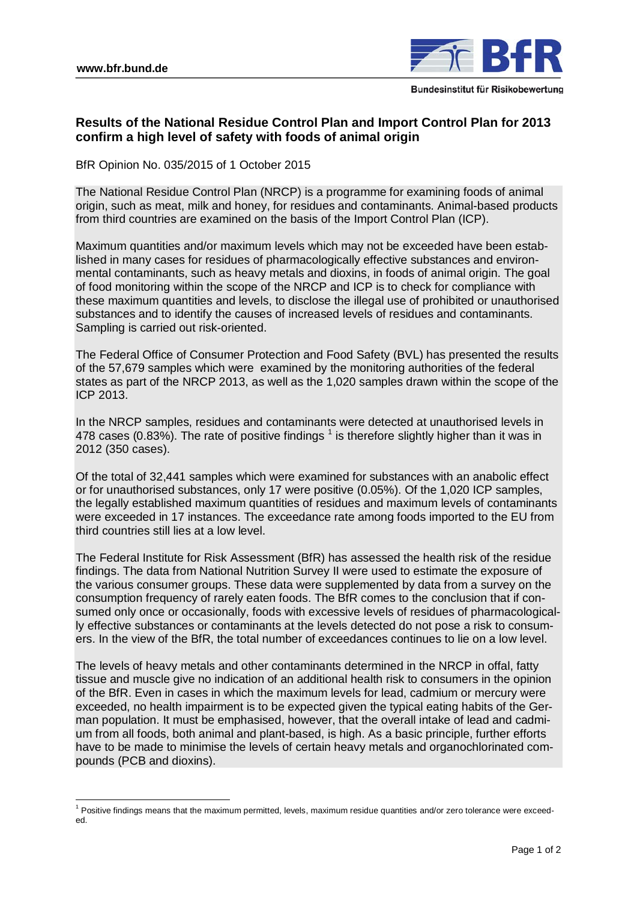$\overline{a}$ 



# **Results of the National Residue Control Plan and Import Control Plan for 2013 confirm a high level of safety with foods of animal origin**

BfR Opinion No. 035/2015 of 1 October 2015

The National Residue Control Plan (NRCP) is a programme for examining foods of animal origin, such as meat, milk and honey, for residues and contaminants. Animal-based products from third countries are examined on the basis of the Import Control Plan (ICP).

Maximum quantities and/or maximum levels which may not be exceeded have been established in many cases for residues of pharmacologically effective substances and environmental contaminants, such as heavy metals and dioxins, in foods of animal origin. The goal of food monitoring within the scope of the NRCP and ICP is to check for compliance with these maximum quantities and levels, to disclose the illegal use of prohibited or unauthorised substances and to identify the causes of increased levels of residues and contaminants. Sampling is carried out risk-oriented.

The Federal Office of Consumer Protection and Food Safety (BVL) has presented the results of the 57,679 samples which were examined by the monitoring authorities of the federal states as part of the NRCP 2013, as well as the 1,020 samples drawn within the scope of the ICP 2013.

In the NRCP samples, residues and contaminants were detected at unauthorised levels in 478 cases (0.83%). The rate of positive findings  $^1$  $^1$  is therefore slightly higher than it was in 2012 (350 cases).

Of the total of 32,441 samples which were examined for substances with an anabolic effect or for unauthorised substances, only 17 were positive (0.05%). Of the 1,020 ICP samples, the legally established maximum quantities of residues and maximum levels of contaminants were exceeded in 17 instances. The exceedance rate among foods imported to the EU from third countries still lies at a low level.

The Federal Institute for Risk Assessment (BfR) has assessed the health risk of the residue findings. The data from National Nutrition Survey II were used to estimate the exposure of the various consumer groups. These data were supplemented by data from a survey on the consumption frequency of rarely eaten foods. The BfR comes to the conclusion that if consumed only once or occasionally, foods with excessive levels of residues of pharmacologically effective substances or contaminants at the levels detected do not pose a risk to consumers. In the view of the BfR, the total number of exceedances continues to lie on a low level.

The levels of heavy metals and other contaminants determined in the NRCP in offal, fatty tissue and muscle give no indication of an additional health risk to consumers in the opinion of the BfR. Even in cases in which the maximum levels for lead, cadmium or mercury were exceeded, no health impairment is to be expected given the typical eating habits of the German population. It must be emphasised, however, that the overall intake of lead and cadmium from all foods, both animal and plant-based, is high. As a basic principle, further efforts have to be made to minimise the levels of certain heavy metals and organochlorinated compounds (PCB and dioxins).

<span id="page-0-0"></span> $1$  Positive findings means that the maximum permitted, levels, maximum residue quantities and/or zero tolerance were exceeded.